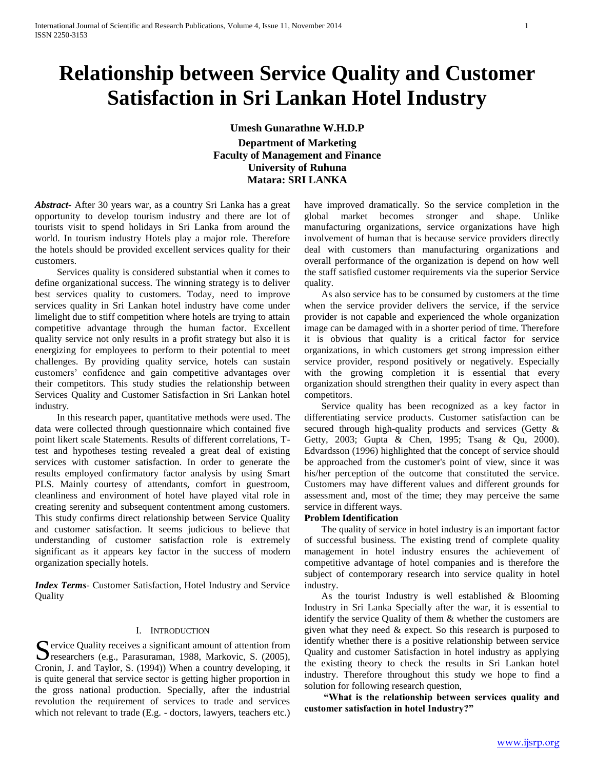# **Relationship between Service Quality and Customer Satisfaction in Sri Lankan Hotel Industry**

**Umesh Gunarathne W.H.D.P**

**Department of Marketing Faculty of Management and Finance University of Ruhuna Matara: SRI LANKA**

*Abstract***-** After 30 years war, as a country Sri Lanka has a great opportunity to develop tourism industry and there are lot of tourists visit to spend holidays in Sri Lanka from around the world. In tourism industry Hotels play a major role. Therefore the hotels should be provided excellent services quality for their customers.

 Services quality is considered substantial when it comes to define organizational success. The winning strategy is to deliver best services quality to customers. Today, need to improve services quality in Sri Lankan hotel industry have come under limelight due to stiff competition where hotels are trying to attain competitive advantage through the human factor. Excellent quality service not only results in a profit strategy but also it is energizing for employees to perform to their potential to meet challenges. By providing quality service, hotels can sustain customers" confidence and gain competitive advantages over their competitors. This study studies the relationship between Services Quality and Customer Satisfaction in Sri Lankan hotel industry.

 In this research paper, quantitative methods were used. The data were collected through questionnaire which contained five point likert scale Statements. Results of different correlations, Ttest and hypotheses testing revealed a great deal of existing services with customer satisfaction. In order to generate the results employed confirmatory factor analysis by using Smart PLS. Mainly courtesy of attendants, comfort in guestroom, cleanliness and environment of hotel have played vital role in creating serenity and subsequent contentment among customers. This study confirms direct relationship between Service Quality and customer satisfaction. It seems judicious to believe that understanding of customer satisfaction role is extremely significant as it appears key factor in the success of modern organization specially hotels.

*Index Terms*- Customer Satisfaction, Hotel Industry and Service **Quality** 

# I. INTRODUCTION

Service Quality receives a significant amount of attention from<br>researchers (e.g., Parasuraman, 1988, Markovic, S. (2005), researchers (e.g., Parasuraman, 1988, Markovic, S. (2005), Cronin, J. and Taylor, S. (1994)) When a country developing, it is quite general that service sector is getting higher proportion in the gross national production. Specially, after the industrial revolution the requirement of services to trade and services which not relevant to trade (E.g. - doctors, lawyers, teachers etc.)

have improved dramatically. So the service completion in the global market becomes stronger and shape. Unlike manufacturing organizations, service organizations have high involvement of human that is because service providers directly deal with customers than manufacturing organizations and overall performance of the organization is depend on how well the staff satisfied customer requirements via the superior Service quality.

 As also service has to be consumed by customers at the time when the service provider delivers the service, if the service provider is not capable and experienced the whole organization image can be damaged with in a shorter period of time. Therefore it is obvious that quality is a critical factor for service organizations, in which customers get strong impression either service provider, respond positively or negatively. Especially with the growing completion it is essential that every organization should strengthen their quality in every aspect than competitors.

 Service quality has been recognized as a key factor in differentiating service products. Customer satisfaction can be secured through high-quality products and services (Getty & Getty, 2003; Gupta & Chen, 1995; Tsang & Qu, 2000). Edvardsson (1996) highlighted that the concept of service should be approached from the customer's point of view, since it was his/her perception of the outcome that constituted the service. Customers may have different values and different grounds for assessment and, most of the time; they may perceive the same service in different ways.

# **Problem Identification**

 The quality of service in hotel industry is an important factor of successful business. The existing trend of complete quality management in hotel industry ensures the achievement of competitive advantage of hotel companies and is therefore the subject of contemporary research into service quality in hotel industry.

 As the tourist Industry is well established & Blooming Industry in Sri Lanka Specially after the war, it is essential to identify the service Quality of them & whether the customers are given what they need & expect. So this research is purposed to identify whether there is a positive relationship between service Quality and customer Satisfaction in hotel industry as applying the existing theory to check the results in Sri Lankan hotel industry. Therefore throughout this study we hope to find a solution for following research question,

 **"What is the relationship between services quality and customer satisfaction in hotel Industry?"**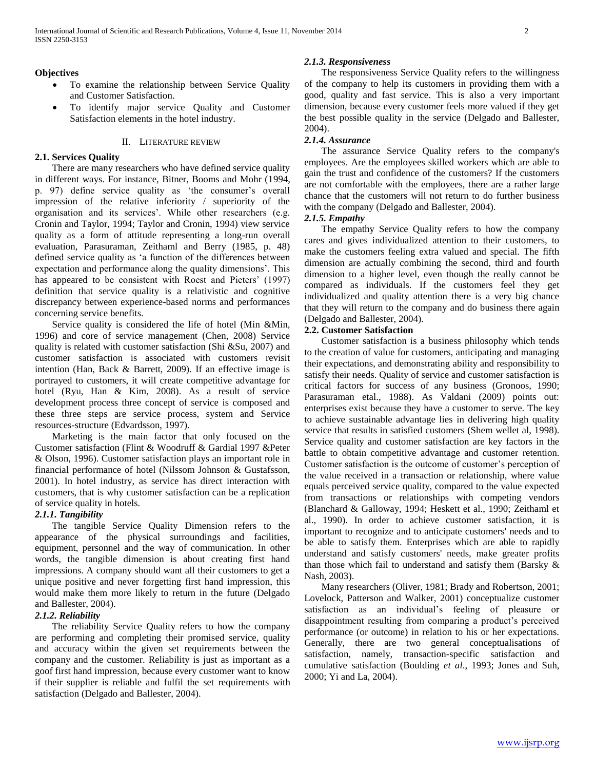# **Objectives**

- To examine the relationship between Service Quality and Customer Satisfaction.
- To identify major service Quality and Customer Satisfaction elements in the hotel industry.

# II. LITERATURE REVIEW

# **2.1. Services Quality**

 There are many researchers who have defined service quality in different ways. For instance, Bitner, Booms and Mohr (1994, p. 97) define service quality as 'the consumer's overall impression of the relative inferiority / superiority of the organisation and its services". While other researchers (e.g. Cronin and Taylor, 1994; Taylor and Cronin, 1994) view service quality as a form of attitude representing a long-run overall evaluation, Parasuraman, Zeithaml and Berry (1985, p. 48) defined service quality as "a function of the differences between expectation and performance along the quality dimensions'. This has appeared to be consistent with Roest and Pieters' (1997) definition that service quality is a relativistic and cognitive discrepancy between experience-based norms and performances concerning service benefits.

 Service quality is considered the life of hotel (Min &Min, 1996) and core of service management (Chen, 2008) Service quality is related with customer satisfaction (Shi &Su, 2007) and customer satisfaction is associated with customers revisit intention (Han, Back & Barrett, 2009). If an effective image is portrayed to customers, it will create competitive advantage for hotel (Ryu, Han & Kim, 2008). As a result of service development process three concept of service is composed and these three steps are service process, system and Service resources-structure (Edvardsson, 1997).

 Marketing is the main factor that only focused on the Customer satisfaction (Flint & Woodruff & Gardial 1997 &Peter & Olson, 1996). Customer satisfaction plays an important role in financial performance of hotel (Nilssom Johnson & Gustafsson, 2001). In hotel industry, as service has direct interaction with customers, that is why customer satisfaction can be a replication of service quality in hotels.

# *2.1.1. Tangibility*

 The tangible Service Quality Dimension refers to the appearance of the physical surroundings and facilities, equipment, personnel and the way of communication. In other words, the tangible dimension is about creating first hand impressions. A company should want all their customers to get a unique positive and never forgetting first hand impression, this would make them more likely to return in the future (Delgado and Ballester, 2004).

# *2.1.2. Reliability*

 The reliability Service Quality refers to how the company are performing and completing their promised service, quality and accuracy within the given set requirements between the company and the customer. Reliability is just as important as a goof first hand impression, because every customer want to know if their supplier is reliable and fulfil the set requirements with satisfaction (Delgado and Ballester, 2004).

### *2.1.3. Responsiveness*

 The responsiveness Service Quality refers to the willingness of the company to help its customers in providing them with a good, quality and fast service. This is also a very important dimension, because every customer feels more valued if they get the best possible quality in the service (Delgado and Ballester, 2004).

## *2.1.4. Assurance*

 The assurance Service Quality refers to the company's employees. Are the employees skilled workers which are able to gain the trust and confidence of the customers? If the customers are not comfortable with the employees, there are a rather large chance that the customers will not return to do further business with the company (Delgado and Ballester, 2004).

## *2.1.5. Empathy*

 The empathy Service Quality refers to how the company cares and gives individualized attention to their customers, to make the customers feeling extra valued and special. The fifth dimension are actually combining the second, third and fourth dimension to a higher level, even though the really cannot be compared as individuals. If the customers feel they get individualized and quality attention there is a very big chance that they will return to the company and do business there again (Delgado and Ballester, 2004).

# **2.2. Customer Satisfaction**

 Customer satisfaction is a business philosophy which tends to the creation of value for customers, anticipating and managing their expectations, and demonstrating ability and responsibility to satisfy their needs. Quality of service and customer satisfaction is critical factors for success of any business (Gronoos, 1990; Parasuraman etal., 1988). As Valdani (2009) points out: enterprises exist because they have a customer to serve. The key to achieve sustainable advantage lies in delivering high quality service that results in satisfied customers (Shem wellet al, 1998). Service quality and customer satisfaction are key factors in the battle to obtain competitive advantage and customer retention. Customer satisfaction is the outcome of customer"s perception of the value received in a transaction or relationship, where value equals perceived service quality, compared to the value expected from transactions or relationships with competing vendors (Blanchard & Galloway, 1994; Heskett et al., 1990; Zeithaml et al., 1990). In order to achieve customer satisfaction, it is important to recognize and to anticipate customers' needs and to be able to satisfy them. Enterprises which are able to rapidly understand and satisfy customers' needs, make greater profits than those which fail to understand and satisfy them (Barsky & Nash, 2003).

 Many researchers (Oliver, 1981; Brady and Robertson, 2001; Lovelock, Patterson and Walker, 2001) conceptualize customer satisfaction as an individual"s feeling of pleasure or disappointment resulting from comparing a product's perceived performance (or outcome) in relation to his or her expectations. Generally, there are two general conceptualisations of satisfaction, namely, transaction-specific satisfaction and cumulative satisfaction (Boulding *et al*., 1993; Jones and Suh, 2000; Yi and La, 2004).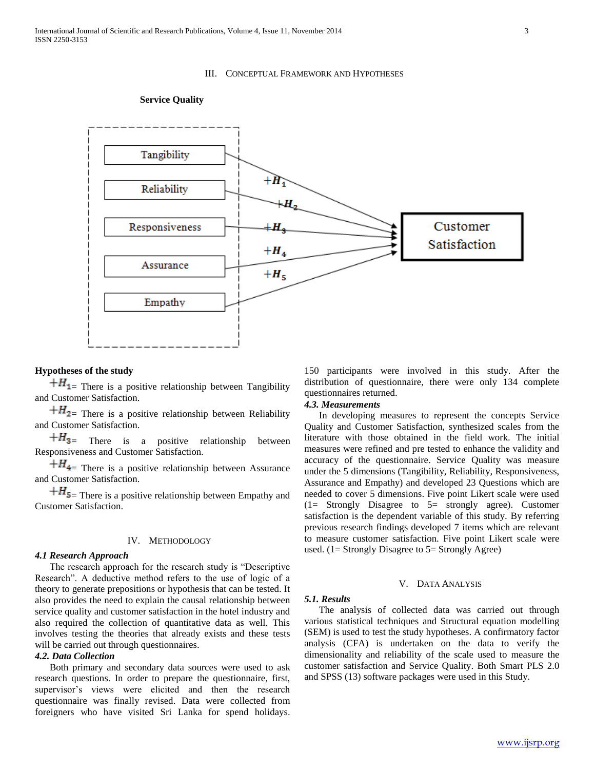#### III. CONCEPTUAL FRAMEWORK AND HYPOTHESES



#### **Service Quality**

# **Hypotheses of the study**

 $+$ *H*<sub>1</sub> $=$  There is a positive relationship between Tangibility and Customer Satisfaction.

 $+ H_{2}$  There is a positive relationship between Reliability and Customer Satisfaction.

 $+H_{3}$  There is a positive relationship between Responsiveness and Customer Satisfaction.

 $+H_{4}$  There is a positive relationship between Assurance and Customer Satisfaction.

 $+$ *H*<sub>5</sub> $=$  There is a positive relationship between Empathy and Customer Satisfaction.

# IV. METHODOLOGY

#### *4.1 Research Approach*

 The research approach for the research study is "Descriptive Research". A deductive method refers to the use of logic of a theory to generate prepositions or hypothesis that can be tested. It also provides the need to explain the causal relationship between service quality and customer satisfaction in the hotel industry and also required the collection of quantitative data as well. This involves testing the theories that already exists and these tests will be carried out through questionnaires.

# *4.2. Data Collection*

 Both primary and secondary data sources were used to ask research questions. In order to prepare the questionnaire, first, supervisor's views were elicited and then the research questionnaire was finally revised. Data were collected from foreigners who have visited Sri Lanka for spend holidays.

150 participants were involved in this study. After the distribution of questionnaire, there were only 134 complete questionnaires returned.

#### *4.3. Measurements*

 In developing measures to represent the concepts Service Quality and Customer Satisfaction, synthesized scales from the literature with those obtained in the field work. The initial measures were refined and pre tested to enhance the validity and accuracy of the questionnaire. Service Quality was measure under the 5 dimensions (Tangibility, Reliability, Responsiveness, Assurance and Empathy) and developed 23 Questions which are needed to cover 5 dimensions. Five point Likert scale were used (1= Strongly Disagree to 5= strongly agree). Customer satisfaction is the dependent variable of this study. By referring previous research findings developed 7 items which are relevant to measure customer satisfaction. Five point Likert scale were used. (1= Strongly Disagree to 5= Strongly Agree)

# V. DATA ANALYSIS

## *5.1. Results*

 The analysis of collected data was carried out through various statistical techniques and Structural equation modelling (SEM) is used to test the study hypotheses. A confirmatory factor analysis (CFA) is undertaken on the data to verify the dimensionality and reliability of the scale used to measure the customer satisfaction and Service Quality. Both Smart PLS 2.0 and SPSS (13) software packages were used in this Study.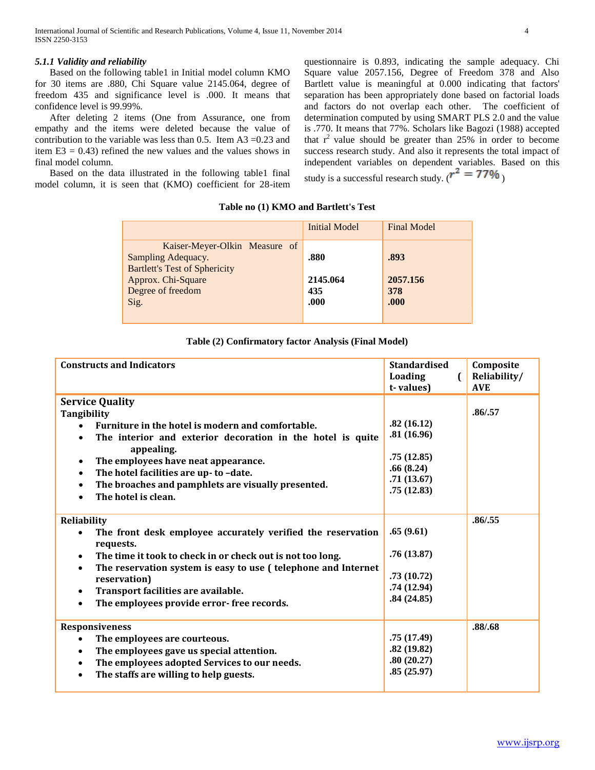# *5.1.1 Validity and reliability*

 Based on the following table1 in Initial model column KMO for 30 items are .880, Chi Square value 2145.064, degree of freedom 435 and significance level is .000. It means that confidence level is 99.99%.

 After deleting 2 items (One from Assurance, one from empathy and the items were deleted because the value of contribution to the variable was less than 0.5. Item  $A3 = 0.23$  and item  $E3 = 0.43$ ) refined the new values and the values shows in final model column.

 Based on the data illustrated in the following table1 final model column, it is seen that (KMO) coefficient for 28-item questionnaire is 0.893, indicating the sample adequacy. Chi Square value 2057.156, Degree of Freedom 378 and Also Bartlett value is meaningful at 0.000 indicating that factors' separation has been appropriately done based on factorial loads and factors do not overlap each other. The coefficient of determination computed by using SMART PLS 2.0 and the value is .770. It means that 77%. Scholars like Bagozi (1988) accepted that  $r^2$  value should be greater than 25% in order to become success research study. And also it represents the total impact of independent variables on dependent variables. Based on this study is a successful research study. ( $r^2 = 77\%$ )

|                                                                                             | <b>Initial Model</b> | <b>Final Model</b> |
|---------------------------------------------------------------------------------------------|----------------------|--------------------|
| Kaiser-Meyer-Olkin Measure of<br>Sampling Adequacy.<br><b>Bartlett's Test of Sphericity</b> | .880                 | .893               |
| Approx. Chi-Square                                                                          | 2145.064             | 2057.156           |
| Degree of freedom<br>Sig.                                                                   | 435<br>.000          | 378<br>.000        |
|                                                                                             |                      |                    |

# **Table (2) Confirmatory factor Analysis (Final Model)**

| <b>Constructs and Indicators</b>                                                                                                                                                                                                                                                                                                                                                         | <b>Standardised</b><br>Loading<br>$\mathbf{r}$<br>t-values)                     | Composite<br>Reliability/<br><b>AVE</b> |
|------------------------------------------------------------------------------------------------------------------------------------------------------------------------------------------------------------------------------------------------------------------------------------------------------------------------------------------------------------------------------------------|---------------------------------------------------------------------------------|-----------------------------------------|
| <b>Service Quality</b><br>Tangibility<br>Furniture in the hotel is modern and comfortable.<br>$\bullet$<br>The interior and exterior decoration in the hotel is quite<br>$\bullet$<br>appealing.<br>The employees have neat appearance.<br>The hotel facilities are up- to -date.<br>$\bullet$<br>The broaches and pamphlets are visually presented.<br>$\bullet$<br>The hotel is clean. | .82(16.12)<br>.81(16.96)<br>.75(12.85)<br>.66(8.24)<br>.71(13.67)<br>.75(12.83) | .86/0.57                                |
| Reliability<br>The front desk employee accurately verified the reservation<br>requests.<br>The time it took to check in or check out is not too long.<br>٠<br>The reservation system is easy to use (telephone and Internet<br>$\bullet$<br>reservation)<br>Transport facilities are available.<br>$\bullet$<br>The employees provide error-free records.<br>$\bullet$                   | .65(9.61)<br>.76(13.87)<br>.73(10.72)<br>.74(12.94)<br>.84(24.85)               | .86 / .55                               |
| <b>Responsiveness</b><br>The employees are courteous.<br>$\bullet$<br>The employees gave us special attention.<br>$\bullet$<br>The employees adopted Services to our needs.<br>$\bullet$<br>The staffs are willing to help guests.<br>$\bullet$                                                                                                                                          | .75(17.49)<br>.82(19.82)<br>.80(20.27)<br>.85(25.97)                            | .88/.68                                 |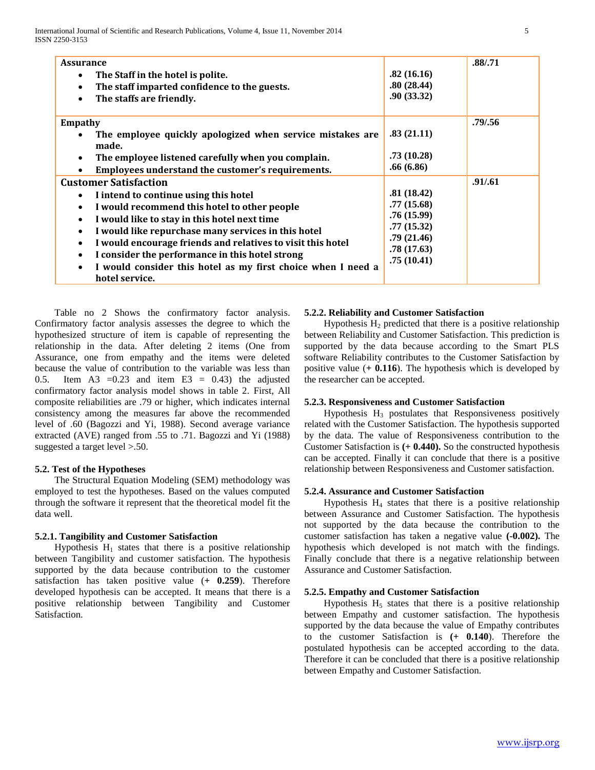| <b>Assurance</b><br>The Staff in the hotel is polite.<br>$\bullet$<br>The staff imparted confidence to the guests.<br>$\bullet$<br>The staffs are friendly.<br>$\bullet$                                                                                                                                                                                                                                                                                                                                                    | .82(16.16)<br>.80(28.44)<br>.90(33.32)                                                         | .88/.71  |
|-----------------------------------------------------------------------------------------------------------------------------------------------------------------------------------------------------------------------------------------------------------------------------------------------------------------------------------------------------------------------------------------------------------------------------------------------------------------------------------------------------------------------------|------------------------------------------------------------------------------------------------|----------|
| <b>Empathy</b><br>The employee quickly apologized when service mistakes are<br>made.<br>The employee listened carefully when you complain.<br>$\bullet$<br>Employees understand the customer's requirements.<br>$\bullet$                                                                                                                                                                                                                                                                                                   | .83(21.11)<br>.73(10.28)<br>.66(6.86)                                                          | .79/0.56 |
| <b>Customer Satisfaction</b><br>I intend to continue using this hotel<br>$\bullet$<br>I would recommend this hotel to other people<br>$\bullet$<br>I would like to stay in this hotel next time<br>$\bullet$<br>I would like repurchase many services in this hotel<br>$\bullet$<br>I would encourage friends and relatives to visit this hotel<br>$\bullet$<br>I consider the performance in this hotel strong<br>$\bullet$<br>I would consider this hotel as my first choice when I need a<br>$\bullet$<br>hotel service. | .81(18.42)<br>.77(15.68)<br>.76(15.99)<br>.77(15.32)<br>.79(21.46)<br>.78(17.63)<br>.75(10.41) | .91/.61  |

 Table no 2 Shows the confirmatory factor analysis. Confirmatory factor analysis assesses the degree to which the hypothesized structure of item is capable of representing the relationship in the data. After deleting 2 items (One from Assurance, one from empathy and the items were deleted because the value of contribution to the variable was less than 0.5. Item A3 =  $0.23$  and item E3 = 0.43) the adjusted confirmatory factor analysis model shows in table 2. First, All composite reliabilities are .79 or higher, which indicates internal consistency among the measures far above the recommended level of .60 (Bagozzi and Yi, 1988). Second average variance extracted (AVE) ranged from .55 to .71. Bagozzi and Yi (1988) suggested a target level >.50.

# **5.2. Test of the Hypotheses**

 The Structural Equation Modeling (SEM) methodology was employed to test the hypotheses. Based on the values computed through the software it represent that the theoretical model fit the data well.

## **5.2.1. Tangibility and Customer Satisfaction**

Hypothesis  $H_1$  states that there is a positive relationship between Tangibility and customer satisfaction. The hypothesis supported by the data because contribution to the customer satisfaction has taken positive value (**+ 0.259**). Therefore developed hypothesis can be accepted. It means that there is a positive relationship between Tangibility and Customer Satisfaction.

# **5.2.2. Reliability and Customer Satisfaction**

Hypothesis  $H_2$  predicted that there is a positive relationship between Reliability and Customer Satisfaction. This prediction is supported by the data because according to the Smart PLS software Reliability contributes to the Customer Satisfaction by positive value (**+ 0.116**). The hypothesis which is developed by the researcher can be accepted.

## **5.2.3. Responsiveness and Customer Satisfaction**

Hypothesis  $H_3$  postulates that Responsiveness positively related with the Customer Satisfaction. The hypothesis supported by the data. The value of Responsiveness contribution to the Customer Satisfaction is **(+ 0.440).** So the constructed hypothesis can be accepted. Finally it can conclude that there is a positive relationship between Responsiveness and Customer satisfaction.

## **5.2.4. Assurance and Customer Satisfaction**

Hypothesis  $H_4$  states that there is a positive relationship between Assurance and Customer Satisfaction. The hypothesis not supported by the data because the contribution to the customer satisfaction has taken a negative value **(-0.002).** The hypothesis which developed is not match with the findings. Finally conclude that there is a negative relationship between Assurance and Customer Satisfaction.

## **5.2.5. Empathy and Customer Satisfaction**

Hypothesis  $H<sub>5</sub>$  states that there is a positive relationship between Empathy and customer satisfaction. The hypothesis supported by the data because the value of Empathy contributes to the customer Satisfaction is **(+ 0.140**). Therefore the postulated hypothesis can be accepted according to the data. Therefore it can be concluded that there is a positive relationship between Empathy and Customer Satisfaction.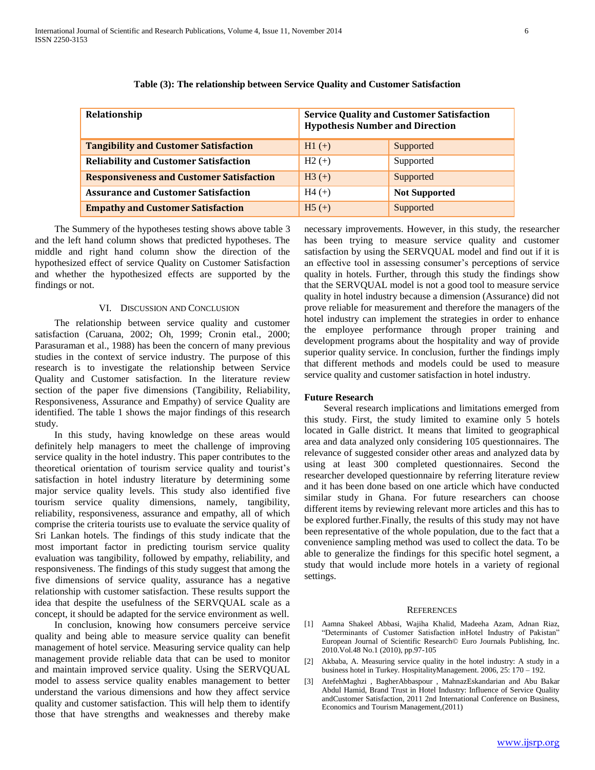|  |   | ۰<br>٠ |   |
|--|---|--------|---|
|  |   |        |   |
|  | × |        | ٧ |
|  |   |        |   |

| Relationship                                    | <b>Service Quality and Customer Satisfaction</b><br><b>Hypothesis Number and Direction</b> |                      |
|-------------------------------------------------|--------------------------------------------------------------------------------------------|----------------------|
| <b>Tangibility and Customer Satisfaction</b>    | $H1 (+)$                                                                                   | Supported            |
| <b>Reliability and Customer Satisfaction</b>    | $H2 (+)$                                                                                   | Supported            |
| <b>Responsiveness and Customer Satisfaction</b> | $H3 (+)$                                                                                   | Supported            |
| <b>Assurance and Customer Satisfaction</b>      | $H4 (+)$                                                                                   | <b>Not Supported</b> |
| <b>Empathy and Customer Satisfaction</b>        | $H5 (+)$                                                                                   | Supported            |

## **Table (3): The relationship between Service Quality and Customer Satisfaction**

 The Summery of the hypotheses testing shows above table 3 and the left hand column shows that predicted hypotheses. The middle and right hand column show the direction of the hypothesized effect of service Quality on Customer Satisfaction and whether the hypothesized effects are supported by the findings or not.

#### VI. DISCUSSION AND CONCLUSION

 The relationship between service quality and customer satisfaction (Caruana, 2002; Oh, 1999; Cronin etal., 2000; Parasuraman et al., 1988) has been the concern of many previous studies in the context of service industry. The purpose of this research is to investigate the relationship between Service Quality and Customer satisfaction. In the literature review section of the paper five dimensions (Tangibility, Reliability, Responsiveness, Assurance and Empathy) of service Quality are identified. The table 1 shows the major findings of this research study.

 In this study, having knowledge on these areas would definitely help managers to meet the challenge of improving service quality in the hotel industry. This paper contributes to the theoretical orientation of tourism service quality and tourist"s satisfaction in hotel industry literature by determining some major service quality levels. This study also identified five tourism service quality dimensions, namely, tangibility, reliability, responsiveness, assurance and empathy, all of which comprise the criteria tourists use to evaluate the service quality of Sri Lankan hotels. The findings of this study indicate that the most important factor in predicting tourism service quality evaluation was tangibility, followed by empathy, reliability, and responsiveness. The findings of this study suggest that among the five dimensions of service quality, assurance has a negative relationship with customer satisfaction. These results support the idea that despite the usefulness of the SERVQUAL scale as a concept, it should be adapted for the service environment as well.

 In conclusion, knowing how consumers perceive service quality and being able to measure service quality can benefit management of hotel service. Measuring service quality can help management provide reliable data that can be used to monitor and maintain improved service quality. Using the SERVQUAL model to assess service quality enables management to better understand the various dimensions and how they affect service quality and customer satisfaction. This will help them to identify those that have strengths and weaknesses and thereby make

necessary improvements. However, in this study, the researcher has been trying to measure service quality and customer satisfaction by using the SERVQUAL model and find out if it is an effective tool in assessing consumer's perceptions of service quality in hotels. Further, through this study the findings show that the SERVQUAL model is not a good tool to measure service quality in hotel industry because a dimension (Assurance) did not prove reliable for measurement and therefore the managers of the hotel industry can implement the strategies in order to enhance the employee performance through proper training and development programs about the hospitality and way of provide superior quality service. In conclusion, further the findings imply that different methods and models could be used to measure service quality and customer satisfaction in hotel industry.

#### **Future Research**

 Several research implications and limitations emerged from this study. First, the study limited to examine only 5 hotels located in Galle district. It means that limited to geographical area and data analyzed only considering 105 questionnaires. The relevance of suggested consider other areas and analyzed data by using at least 300 completed questionnaires. Second the researcher developed questionnaire by referring literature review and it has been done based on one article which have conducted similar study in Ghana. For future researchers can choose different items by reviewing relevant more articles and this has to be explored further.Finally, the results of this study may not have been representative of the whole population, due to the fact that a convenience sampling method was used to collect the data. To be able to generalize the findings for this specific hotel segment, a study that would include more hotels in a variety of regional settings.

#### **REFERENCES**

- [1] Aamna Shakeel Abbasi, Wajiha Khalid, Madeeha Azam, Adnan Riaz, "Determinants of Customer Satisfaction inHotel Industry of Pakistan" European Journal of Scientific Research© Euro Journals Publishing, Inc. 2010.Vol.48 No.1 (2010), pp.97-105
- [2] Akbaba, A. Measuring service quality in the hotel industry: A study in a business hotel in Turkey. HospitalityManagement. 2006, 25: 170 – 192.
- [3] AtefehMaghzi , BagherAbbaspour , MahnazEskandarian and Abu Bakar Abdul Hamid, Brand Trust in Hotel Industry: Influence of Service Quality andCustomer Satisfaction, 2011 2nd International Conference on Business, Economics and Tourism Management,(2011)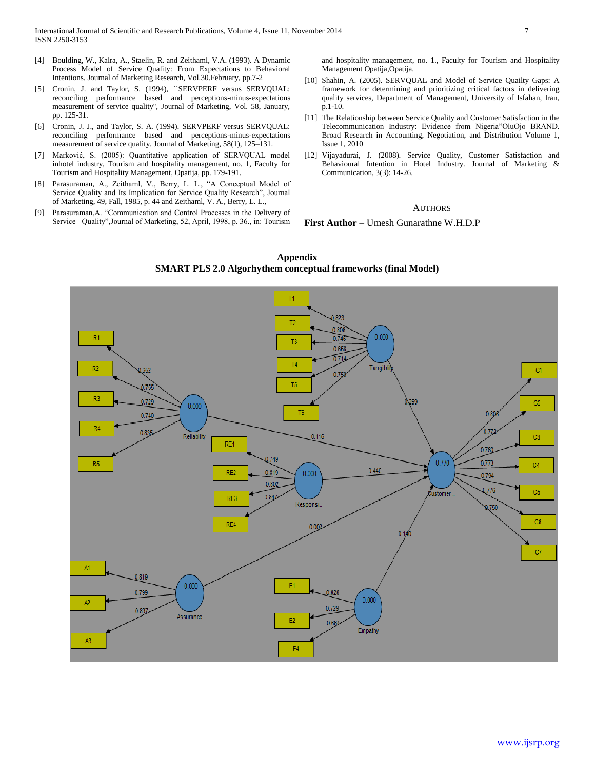- [4] Boulding, W., Kalra, A., Staelin, R. and Zeithaml, V.A. (1993). A Dynamic Process Model of Service Quality: From Expectations to Behavioral Intentions. Journal of Marketing Research, Vol.30.February, pp.7-2
- [5] Cronin, J. and Taylor, S. (1994), "SERVPERF versus SERVQUAL: reconciling performance based and perceptions-minus-expectations measurement of service quality'', Journal of Marketing, Vol. 58, January, pp. 125-31.
- [6] Cronin, J. J., and Taylor, S. A. (1994). SERVPERF versus SERVQUAL: reconciling performance based and perceptions-minus-expectations measurement of service quality. Journal of Marketing, 58(1), 125–131.
- [7] Marković, S. (2005): Quantitative application of SERVQUAL model inhotel industry, Tourism and hospitality management, no. 1, Faculty for Tourism and Hospitality Management, Opatija, pp. 179-191.
- [8] Parasuraman, A., Zeithaml, V., Berry, L. L., "A Conceptual Model of Service Quality and Its Implication for Service Quality Research", Journal of Marketing, 49, Fall, 1985, p. 44 and Zeithaml, V. A., Berry, L. L.,
- [9] Parasuraman,A. "Communication and Control Processes in the Delivery of Service Quality",Journal of Marketing, 52, April, 1998, p. 36., in: Tourism

and hospitality management, no. 1., Faculty for Tourism and Hospitality Management Opatija,Opatija.

- [10] Shahin, A. (2005). SERVQUAL and Model of Service Quailty Gaps: A framework for determining and prioritizing critical factors in delivering quality services, Department of Management, University of Isfahan, Iran, p.1-10.
- [11] The Relationship between Service Quality and Customer Satisfaction in the Telecommunication Industry: Evidence from Nigeria"OluOjo BRAND. Broad Research in Accounting, Negotiation, and Distribution Volume 1, Issue 1, 2010
- [12] Vijayadurai, J. (2008). Service Quality, Customer Satisfaction and Behavioural Intention in Hotel Industry. Journal of Marketing & Communication, 3(3): 14-26.

## AUTHORS

#### **First Author** – Umesh Gunarathne W.H.D.P



**Appendix SMART PLS 2.0 Algorhythem conceptual frameworks (final Model)**